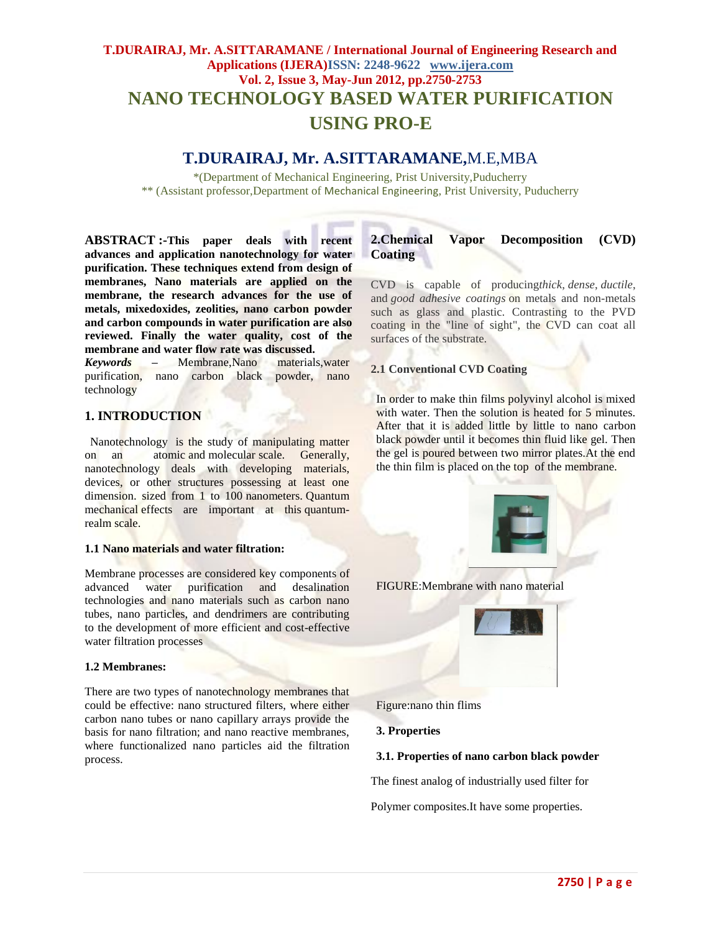# **T.DURAIRAJ, Mr. A.SITTARAMANE / International Journal of Engineering Research and Applications (IJERA)ISSN: 2248-9622 www.ijera.com Vol. 2, Issue 3, May-Jun 2012, pp.2750-2753 NANO TECHNOLOGY BASED WATER PURIFICATION USING PRO-E**

## **T.DURAIRAJ, Mr. A.SITTARAMANE,**M.E,MBA

\*(Department of Mechanical Engineering, Prist University,Puducherry \*\* (Assistant professor,Department of Mechanical Engineering, Prist University, Puducherry

**ABSTRACT :-This paper deals with recent advances and application nanotechnology for water purification. These techniques extend from design of membranes, Nano materials are applied on the membrane, the research advances for the use of metals, mixedoxides, zeolities, nano carbon powder and carbon compounds in water purification are also reviewed. Finally the water quality, cost of the membrane and water flow rate was discussed.**

*Keywords* **–** Membrane,Nano materials,water purification, nano carbon black powder, nano technology

#### **1. INTRODUCTION**

Nanotechnology is the study of manipulating matter on an atomic and molecular scale. Generally, nanotechnology deals with developing materials, devices, or other structures possessing at least one dimension. sized from 1 to 100 nanometers. Quantum mechanical effects are important at this quantumrealm scale.

#### **1.1 Nano materials and water filtration:**

Membrane processes are considered key components of advanced water purification and desalination technologies and nano materials such as carbon nano tubes, nano particles, and dendrimers are contributing to the development of more efficient and cost-effective water filtration processes

#### **1.2 Membranes:**

There are two types of nanotechnology membranes that could be effective: nano structured filters, where either carbon nano tubes or nano capillary arrays provide the basis for nano filtration; and nano reactive membranes, where functionalized nano particles aid the filtration process.

## **2.Chemical Vapor Decomposition (CVD) Coating**

CVD is capable of producing*thick*, *dense*, *ductile*, and *good adhesive coatings* on metals and non-metals such as glass and plastic. Contrasting to the PVD coating in the "line of sight", the CVD can coat all surfaces of the substrate.

#### **2.1 Conventional CVD Coating**

In order to make thin films polyvinyl alcohol is mixed with water. Then the solution is heated for 5 minutes. After that it is added little by little to nano carbon black powder until it becomes thin fluid like gel. Then the gel is poured between two mirror plates.At the end the thin film is placed on the top of the membrane.



FIGURE:Membrane with nano material



Figure:nano thin flims

**3. Properties**

#### **3.1. Properties of nano carbon black powder**

The finest analog of industrially used filter for

Polymer composites.It have some properties.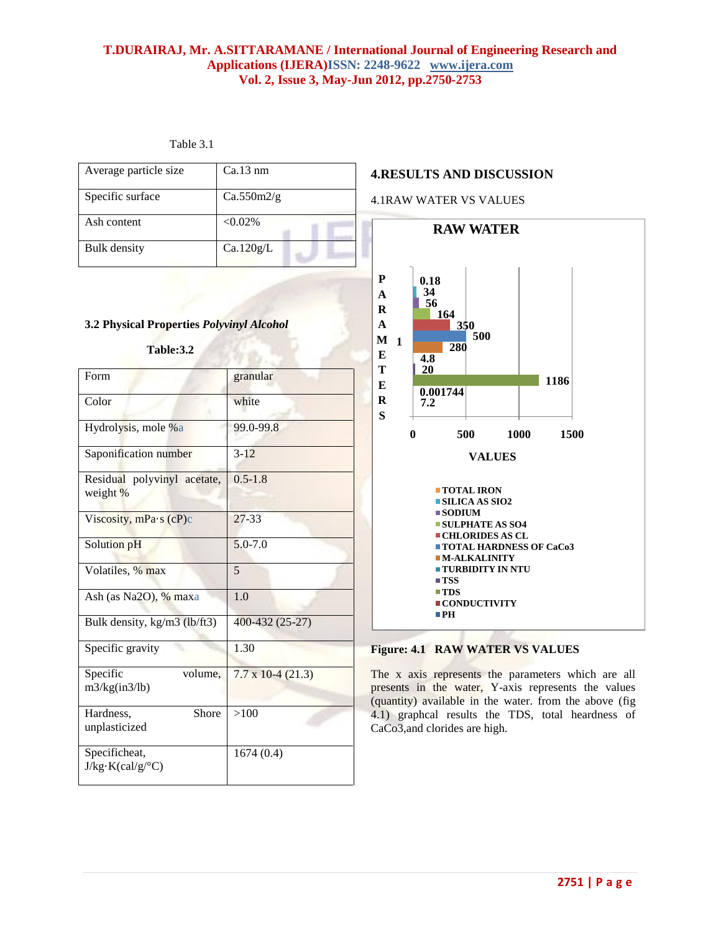#### **T.DURAIRAJ, Mr. A.SITTARAMANE / International Journal of Engineering Research and Applications (IJERA)ISSN: 2248-9622 www.ijera.com Vol. 2, Issue 3, May-Jun 2012, pp.2750-2753**

| Table 3 |  |
|---------|--|
|---------|--|

Hardness, Shore

>100

1674 (0.4)

unplasticized

Specificheat,  $J/kg·K(cal/g/°C)$ 

| Average particle size                                  | Ca.13 nm                    | <b>4.RESULTS AND DISCUSSION</b>                                                                                                                                                                                                                                                                |  |
|--------------------------------------------------------|-----------------------------|------------------------------------------------------------------------------------------------------------------------------------------------------------------------------------------------------------------------------------------------------------------------------------------------|--|
| Specific surface                                       | Ca.550m2/g                  | <b>4.1RAW WATER VS VALUES</b>                                                                                                                                                                                                                                                                  |  |
| Ash content                                            | $< 0.02\%$                  | <b>RAW WATER</b>                                                                                                                                                                                                                                                                               |  |
| <b>Bulk</b> density                                    | Ca.120g/L                   |                                                                                                                                                                                                                                                                                                |  |
| 3.2 Physical Properties Polyvinyl Alcohol<br>Table:3.2 |                             | ${\bf P}$<br>0.18<br>34<br>A<br>56<br>R<br>164<br>$\mathbf{A}$<br>350<br>500<br>$\mathbf M$<br>$\mathbf{1}$<br>280<br>E<br>$\overline{4.8}$                                                                                                                                                    |  |
| Form                                                   | granular                    | T<br>20<br>1186<br>${\bf E}$<br>0.001744                                                                                                                                                                                                                                                       |  |
| Color                                                  | white                       | $\bf R$<br>7.2<br>S                                                                                                                                                                                                                                                                            |  |
| Hydrolysis, mole %a                                    | 99.0-99.8                   | 500<br>1000<br>1500<br>$\bf{0}$                                                                                                                                                                                                                                                                |  |
| Saponification number                                  | $3 - 12$                    | <b>VALUES</b>                                                                                                                                                                                                                                                                                  |  |
| Residual polyvinyl acetate,<br>weight %                | $0.5 - 1.8$                 | <b>TOTAL IRON</b><br>$\blacksquare$ SILICA AS SIO2<br>$\blacksquare$ SODIUM<br><b>SULPHATE AS SO4</b><br><b>CHLORIDES AS CL</b><br><b>TOTAL HARDNESS OF CaCo3</b><br>$\blacksquare$ M-ALKALINITY<br><b>TURBIDITY IN NTU</b><br>$\blacksquare$ TSS<br>$\blacksquare$ TDS<br><b>CONDUCTIVITY</b> |  |
| Viscosity, $mPa·s$ (cP)c                               | $27 - 33$                   |                                                                                                                                                                                                                                                                                                |  |
| Solution pH                                            | $5.0 - 7.0$                 |                                                                                                                                                                                                                                                                                                |  |
| Volatiles, % max                                       | 5                           |                                                                                                                                                                                                                                                                                                |  |
| Ash (as Na2O), % maxa                                  | 1.0                         |                                                                                                                                                                                                                                                                                                |  |
| Bulk density, kg/m3 (lb/ft3)                           | 400-432 (25-27)             | $\blacksquare$ PH                                                                                                                                                                                                                                                                              |  |
| Specific gravity                                       | 1.30                        | <b>Figure: 4.1 RAW WATER VS VALUES</b>                                                                                                                                                                                                                                                         |  |
| Specific<br>volume,<br>m3/kg(in3/lb)                   | $7.7 \times 10^{-4} (21.3)$ | The x axis represents the parameters which are all<br>presents in the water, Y-axis represents the values                                                                                                                                                                                      |  |

(quantity) available in the water. from the above (fig 4.1) graphcal results the TDS, total heardness of CaCo3,and clorides are high.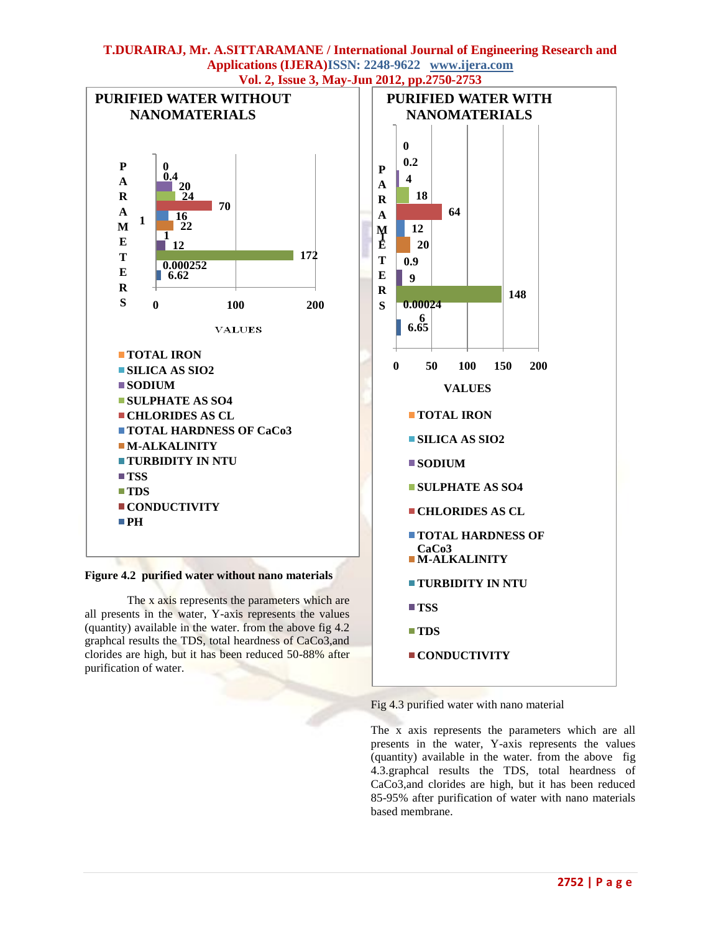#### **T.DURAIRAJ, Mr. A.SITTARAMANE / International Journal of Engineering Research and Applications (IJERA)ISSN: 2248-9622 www.ijera.com Vol. 2, Issue 3, May-Jun 2012, pp.2750-2753**



**Figure 4.2 purified water without nano materials**

The x axis represents the parameters which are all presents in the water, Y-axis represents the values (quantity) available in the water. from the above fig 4.2 graphcal results the TDS, total heardness of CaCo3,and clorides are high, but it has been reduced 50-88% after purification of water.



Fig 4.3 purified water with nano material

The x axis represents the parameters which are all presents in the water, Y-axis represents the values (quantity) available in the water. from the above fig 4.3.graphcal results the TDS, total heardness of CaCo3,and clorides are high, but it has been reduced 85-95% after purification of water with nano materials based membrane.